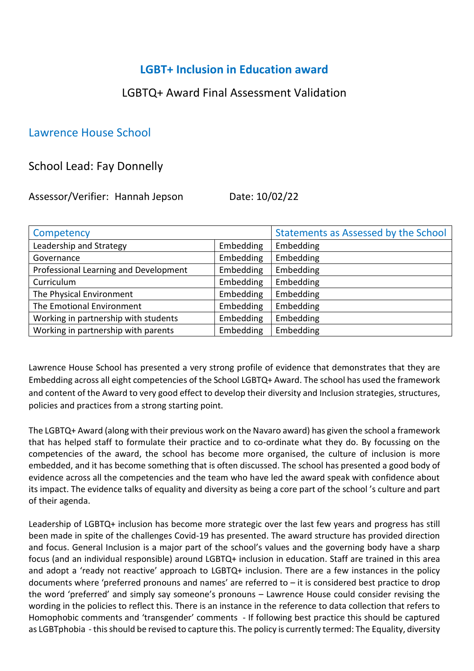## **LGBT+ Inclusion in Education award**

## LGBTQ+ Award Final Assessment Validation

## Lawrence House School

## School Lead: Fay Donnelly

Assessor/Verifier: Hannah Jepson Date: 10/02/22

| Competency                            |           | Statements as Assessed by the School |
|---------------------------------------|-----------|--------------------------------------|
| Leadership and Strategy               | Embedding | Embedding                            |
| Governance                            | Embedding | Embedding                            |
| Professional Learning and Development | Embedding | Embedding                            |
| Curriculum                            | Embedding | Embedding                            |
| The Physical Environment              | Embedding | Embedding                            |
| The Emotional Environment             | Embedding | Embedding                            |
| Working in partnership with students  | Embedding | Embedding                            |
| Working in partnership with parents   | Embedding | Embedding                            |

Lawrence House School has presented a very strong profile of evidence that demonstrates that they are Embedding across all eight competencies of the School LGBTQ+ Award. The school has used the framework and content of the Award to very good effect to develop their diversity and Inclusion strategies, structures, policies and practices from a strong starting point.

The LGBTQ+ Award (along with their previous work on the Navaro award) has given the school a framework that has helped staff to formulate their practice and to co-ordinate what they do. By focussing on the competencies of the award, the school has become more organised, the culture of inclusion is more embedded, and it has become something that is often discussed. The school has presented a good body of evidence across all the competencies and the team who have led the award speak with confidence about its impact. The evidence talks of equality and diversity as being a core part of the school 's culture and part of their agenda.

Leadership of LGBTQ+ inclusion has become more strategic over the last few years and progress has still been made in spite of the challenges Covid-19 has presented. The award structure has provided direction and focus. General Inclusion is a major part of the school's values and the governing body have a sharp focus (and an individual responsible) around LGBTQ+ inclusion in education. Staff are trained in this area and adopt a 'ready not reactive' approach to LGBTQ+ inclusion. There are a few instances in the policy documents where 'preferred pronouns and names' are referred to – it is considered best practice to drop the word 'preferred' and simply say someone's pronouns – Lawrence House could consider revising the wording in the policies to reflect this. There is an instance in the reference to data collection that refers to Homophobic comments and 'transgender' comments - If following best practice this should be captured as LGBTphobia - this should be revised to capture this. The policy is currently termed: The Equality, diversity